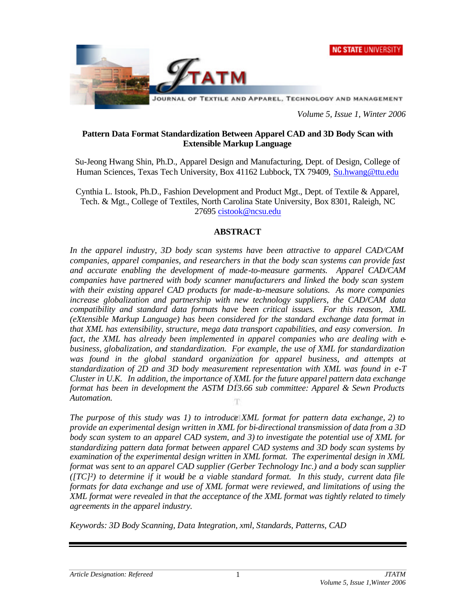



*Volume 5, Issue 1, Winter 2006*

### **Pattern Data Format Standardization Between Apparel CAD and 3D Body Scan with Extensible Markup Language**

Su-Jeong Hwang Shin, Ph.D., Apparel Design and Manufacturing, Dept. of Design, College of Human Sciences, Texas Tech University, Box 41162 Lubbock, TX 79409, Su.hwang@ttu.edu

Cynthia L. Istook, Ph.D., Fashion Development and Product Mgt., Dept. of Textile & Apparel, Tech. & Mgt., College of Textiles, North Carolina State University, Box 8301, Raleigh, NC 27695 cistook@ncsu.edu

### **ABSTRACT**

*In the apparel industry, 3D body scan systems have been attractive to apparel CAD/CAM companies, apparel companies, and researchers in that the body scan systems can provide fast and accurate enabling the development of made-to-measure garments. Apparel CAD/CAM companies have partnered with body scanner manufacturers and linked the body scan system with their existing apparel CAD products for made-to-measure solutions. As more companies increase globalization and partnership with new technology suppliers, the CAD/CAM data compatibility and standard data formats have been critical issues. For this reason, XML (eXtensible Markup Language) has been considered for the standard exchange data format in that XML has extensibility, structure, mega data transport capabilities, and easy conversion. In fact, the XML has already been implemented in apparel companies who are dealing with ebusiness, globalization, and standardization. For example, the use of XML for standardization was found in the global standard organization for apparel business, and attempts at standardization of 2D and 3D body measurement representation with XML was found in e-T Cluster in U.K. In addition, the importance of XML for the future apparel pattern data exchange format has been in development the ASTM D13.66 sub committee: Apparel & Sewn Products Automation.*  T

*The purpose of this study was 1) to introduce XML format for pattern data exchange, 2) to provide an experimental design written in XML for bi-directional transmission of data from a 3D body scan system to an apparel CAD system, and 3) to investigate the potential use of XML for standardizing pattern data format between apparel CAD systems and 3D body scan systems by examination of the experimental design written in XML format. The experimental design in XML format was sent to an apparel CAD supplier (Gerber Technology Inc.) and a body scan supplier ([TC]²) to determine if it would be a viable standard format. In this study, current data file formats for data exchange and use of XML format were reviewed, and limitations of using the XML format were revealed in that the acceptance of the XML format was tightly related to timely agreements in the apparel industry.*

*Keywords: 3D Body Scanning, Data Integration, xml, Standards, Patterns, CAD*

1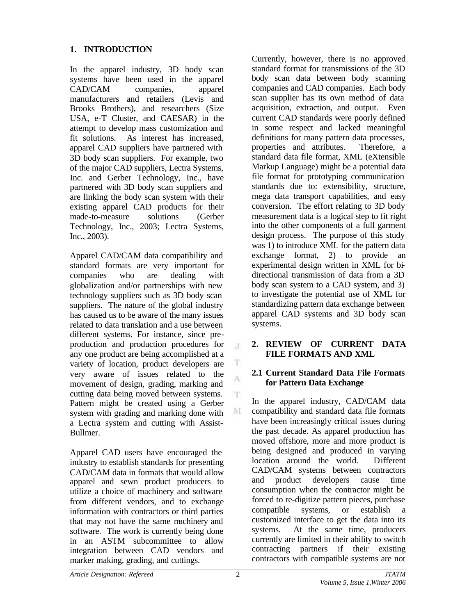# **1. INTRODUCTION**

In the apparel industry, 3D body scan systems have been used in the apparel CAD/CAM companies, apparel manufacturers and retailers (Levis and Brooks Brothers), and researchers (Size USA, e-T Cluster, and CAESAR) in the attempt to develop mass customization and fit solutions. As interest has increased, apparel CAD suppliers have partnered with 3D body scan suppliers. For example, two of the major CAD suppliers, Lectra Systems, Inc. and Gerber Technology, Inc., have partnered with 3D body scan suppliers and are linking the body scan system with their existing apparel CAD products for their made-to-measure solutions (Gerber Technology, Inc., 2003; Lectra Systems, Inc., 2003).

Apparel CAD/CAM data compatibility and standard formats are very important for companies who are dealing with globalization and/or partnerships with new technology suppliers such as 3D body scan suppliers. The nature of the global industry has caused us to be aware of the many issues related to data translation and a use between different systems. For instance, since preproduction and production procedures for any one product are being accomplished at a variety of location, product developers are very aware of issues related to the movement of design, grading, marking and cutting data being moved between systems. Pattern might be created using a Gerber system with grading and marking done with a Lectra system and cutting with Assist-Bullmer.

Apparel CAD users have encouraged the industry to establish standards for presenting CAD/CAM data in formats that would allow apparel and sewn product producers to utilize a choice of machinery and software from different vendors, and to exchange information with contractors or third parties that may not have the same machinery and software. The work is currently being done in an ASTM subcommittee to allow integration between CAD vendors and marker making, grading, and cuttings.

Currently, however, there is no approved standard format for transmissions of the 3D body scan data between body scanning companies and CAD companies. Each body scan supplier has its own method of data acquisition, extraction, and output. Even current CAD standards were poorly defined in some respect and lacked meaningful definitions for many pattern data processes, properties and attributes. Therefore, a standard data file format, XML (eXtensible Markup Language) might be a potential data file format for prototyping communication standards due to: extensibility, structure, mega data transport capabilities, and easy conversion. The effort relating to 3D body measurement data is a logical step to fit right into the other components of a full garment design process. The purpose of this study was 1) to introduce XML for the pattern data exchange format, 2) to provide an experimental design written in XML for bidirectional transmission of data from a 3D body scan system to a CAD system, and 3) to investigate the potential use of XML for standardizing pattern data exchange between apparel CAD systems and 3D body scan systems.

### **2. REVIEW OF CURRENT DATA FILE FORMATS AND XML**

### **2.1 Current Standard Data File Formats for Pattern Data Exchange**

In the apparel industry, CAD/CAM data compatibility and standard data file formats have been increasingly critical issues during the past decade. As apparel production has moved offshore, more and more product is being designed and produced in varying location around the world. Different CAD/CAM systems between contractors and product developers cause time consumption when the contractor might be forced to re-digitize pattern pieces, purchase compatible systems, or establish a customized interface to get the data into its systems. At the same time, producers currently are limited in their ability to switch contracting partners if their existing contractors with compatible systems are not

 $\mathcal{X}$ 

T A

T.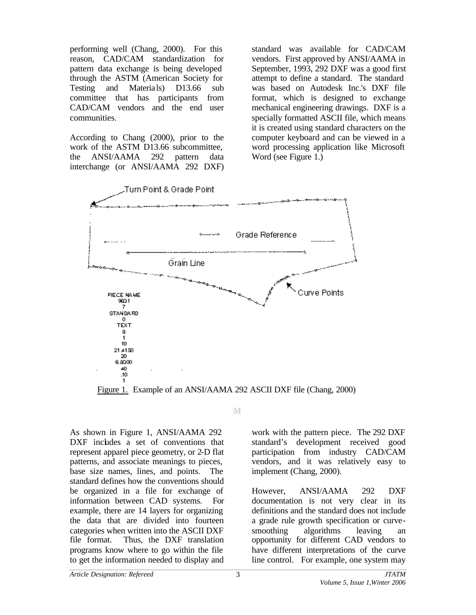performing well (Chang, 2000). For this reason, CAD/CAM standardization for pattern data exchange is being developed through the ASTM (American Society for Testing and Materia ls) D13.66 sub committee that has participants from CAD/CAM vendors and the end user communities.

According to Chang (2000), prior to the work of the ASTM D13.66 subcommittee. the ANSI/AAMA 292 pattern data interchange (or ANSI/AAMA 292 DXF)

standard was available for CAD/CAM vendors. First approved by ANSI/AAMA in September, 1993, 292 DXF was a good first attempt to define a standard. The standard was based on Autodesk Inc.'s DXF file format, which is designed to exchange mechanical engineering drawings. DXF is a specially formatted ASCII file, which means it is created using standard characters on the computer keyboard and can be viewed in a word processing application like Microsoft Word (see Figure 1.)



Figure 1. Example of an ANSI/AAMA 292 ASCII DXF file (Chang, 2000)

M

As shown in Figure 1, ANSI/AAMA 292 DXF includes a set of conventions that represent apparel piece geometry, or 2-D flat patterns, and associate meanings to pieces, base size names, lines, and points. The standard defines how the conventions should be organized in a file for exchange of information between CAD systems. For example, there are 14 layers for organizing the data that are divided into fourteen categories when written into the ASCII DXF file format. Thus, the DXF translation programs know where to go within the file to get the information needed to display and

work with the pattern piece. The 292 DXF standard's development received good participation from industry CAD/CAM vendors, and it was relatively easy to implement (Chang, 2000).

However, ANSI/AAMA 292 DXF documentation is not very clear in its definitions and the standard does not include a grade rule growth specification or curvesmoothing algorithms leaving an opportunity for different CAD vendors to have different interpretations of the curve line control. For example, one system may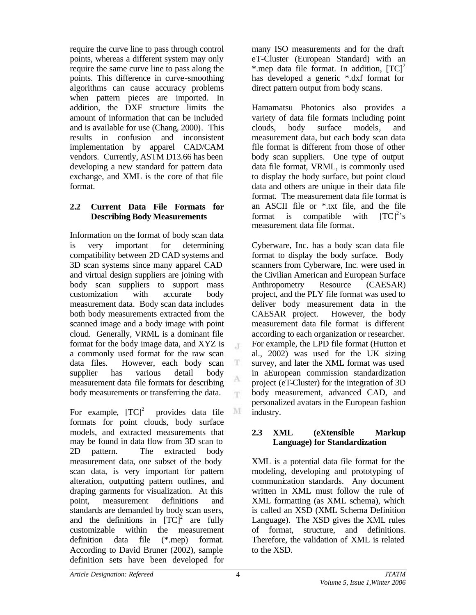require the curve line to pass through control points, whereas a different system may only require the same curve line to pass along the points. This difference in curve-smoothing algorithms can cause accuracy problems when pattern pieces are imported. In addition, the DXF structure limits the amount of information that can be included and is available for use (Chang, 2000). This results in confusion and inconsistent implementation by apparel CAD/CAM vendors.Currently, ASTM D13.66 has been developing a new standard for pattern data exchange, and XML is the core of that file format.

# **2.2 Current Data File Formats for Describing Body Measurements**

Information on the format of body scan data is very important for determining compatibility between 2D CAD systems and 3D scan systems since many apparel CAD and virtual design suppliers are joining with body scan suppliers to support mass customization with accurate body measurement data. Body scan data includes both body measurements extracted from the scanned image and a body image with point cloud. Generally, VRML is a dominant file format for the body image data, and XYZ is a commonly used format for the raw scan data files. However, each body scan supplier has various detail body measurement data file formats for describing body measurements or transferring the data.

For example,  $[TC]^2$  provides data file formats for point clouds, body surface models, and extracted measurements that may be found in data flow from 3D scan to 2D pattern. The extracted body measurement data, one subset of the body scan data, is very important for pattern alteration, outputting pattern outlines, and draping garments for visualization. At this point, measurement definitions and standards are demanded by body scan users, and the definitions in  $[TC]^2$  are fully customizable within the measurement definition data file (\*.mep) format. According to David Bruner (2002), sample definition sets have been developed for

many ISO measurements and for the draft eT-Cluster (European Standard) with an \*.mep data file format. In addition,  $[TC]^2$ has developed a generic \*.dxf format for direct pattern output from body scans.

Hamamatsu Photonics also provides a variety of data file formats including point clouds, body surface models, and measurement data, but each body scan data file format is different from those of other body scan suppliers. One type of output data file format, VRML, is commonly used to display the body surface, but point cloud data and others are unique in their data file format. The measurement data file format is an ASCII file or \*.txt file, and the file format is compatible with  ${[TC]}^2$ 's measurement data file format.

Cyberware, Inc. has a body scan data file format to display the body surface. Body scanners from Cyberware, Inc. were used in the Civilian American and European Surface Anthropometry Resource (CAESAR) project, and the PLY file format was used to deliver body measurement data in the CAESAR project. However, the body measurement data file format is different according to each organization or researcher. For example, the LPD file format (Hutton et al., 2002) was used for the UK sizing survey, and later the XML format was used in aEuropean commission standardization project (eT-Cluster) for the integration of 3D body measurement, advanced CAD, and personalized avatars in the European fashion industry.

### **2.3 XML (eXtensible Markup Language) for Standardization**

XML is a potential data file format for the modeling, developing and prototyping of communication standards. Any document written in XML must follow the rule of XML formatting (as XML schema), which is called an XSD (XML Schema Definition Language). The XSD gives the XML rules of format, structure, and definitions. Therefore, the validation of XML is related to the XSD.

 $\mathcal{X}$ 

 $\mathbf T$ 

A m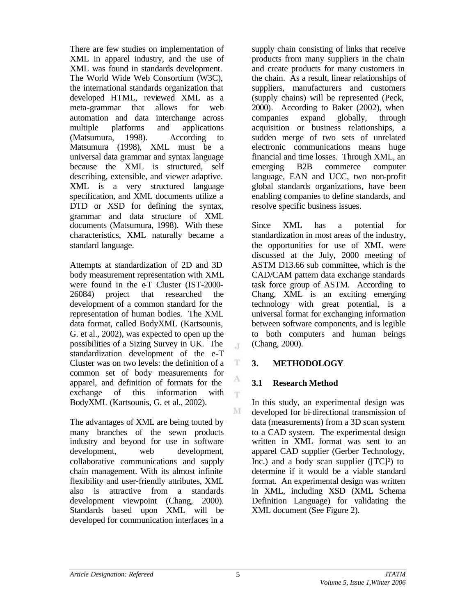There are few studies on implementation of XML in apparel industry, and the use of XML was found in standards development. The World Wide Web Consortium (W3C), the international standards organization that developed HTML, reviewed XML as a meta-grammar that allows for web automation and data interchange across multiple platforms and applications (Matsumura, 1998). According to Matsumura (1998), XML must be a universal data grammar and syntax language because the XML is structured, self describing, extensible, and viewer adaptive. XML is a very structured language specification, and XML documents utilize a DTD or XSD for defining the syntax, grammar and data structure of XML documents (Matsumura, 1998). With these characteristics, XML naturally became a standard language.

Attempts at standardization of 2D and 3D body measurement representation with XML were found in the  $eT$  Cluster (IST-2000-26084) project that researched the development of a common standard for the representation of human bodies. The XML data format, called BodyXML (Kartsounis, G. et al., 2002), was expected to open up the possibilities of a Sizing Survey in UK. The standardization development of the e-T Cluster was on two levels: the definition of a common set of body measurements for apparel, and definition of formats for the exchange of this information with BodyXML (Kartsounis, G. et al., 2002).

The advantages of XML are being touted by many branches of the sewn products industry and beyond for use in software development, web development, collaborative communications and supply chain management. With its almost infinite flexibility and user-friendly attributes, XML also is attractive from a standards development viewpoint (Chang, 2000). Standards based upon XML will be developed for communication interfaces in a supply chain consisting of links that receive products from many suppliers in the chain and create products for many customers in the chain. As a result, linear relationships of suppliers, manufacturers and customers (supply chains) will be represented (Peck, 2000). According to Baker (2002), when companies expand globally, through acquisition or business relationships, a sudden merge of two sets of unrelated electronic communications means huge financial and time losses. Through XML, an emerging B2B commerce computer language, EAN and UCC, two non-profit global standards organizations, have been enabling companies to define standards, and resolve specific business issues.

Since XML has a potential for standardization in most areas of the industry, the opportunities for use of XML were discussed at the July, 2000 meeting of ASTM D13.66 sub committee, which is the CAD/CAM pattern data exchange standards task force group of ASTM. According to Chang, XML is an exciting emerging technology with great potential, is a universal format for exchanging information between software components, and is legible to both computers and human beings (Chang, 2000).

### **3. METHODOLOGY**

### **3.1 Research Method**

In this study, an experimental design was developed for bi-directional transmission of data (measurements) from a 3D scan system to a CAD system. The experimental design written in XML format was sent to an apparel CAD supplier (Gerber Technology, Inc.) and a body scan supplier  $(TC)^2$  to determine if it would be a viable standard format. An experimental design was written in XML, including XSD (XML Schema Definition Language) for validating the XML document (See Figure 2).

J

 $\mathbf T$ 

A  $\mathbf{T}$ 

 $\mathbf{M}$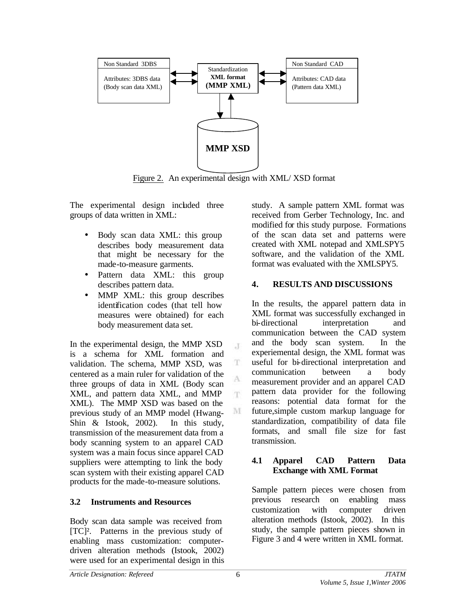

Figure 2. An experimental design with XML/ XSD format

 $\cdot$ 

T

A T.

M

The experimental design included three groups of data written in XML:

- Body scan data XML: this group describes body measurement data that might be necessary for the made-to-measure garments.
- Pattern data XML: this group describes pattern data.
- MMP XML: this group describes identification codes (that tell how measures were obtained) for each body measurement data set.

In the experimental design, the MMP XSD is a schema for XML formation and validation. The schema, MMP XSD, was centered as a main ruler for validation of the three groups of data in XML (Body scan XML, and pattern data XML, and MMP XML). The MMP XSD was based on the previous study of an MMP model (Hwang-Shin & Istook, 2002). In this study, transmission of the measurement data from a body scanning system to an apparel CAD system was a main focus since apparel CAD suppliers were attempting to link the body scan system with their existing apparel CAD products for the made-to-measure solutions.

# **3.2 Instruments and Resources**

Body scan data sample was received from [TC]². Patterns in the previous study of enabling mass customization: computerdriven alteration methods (Istook, 2002) were used for an experimental design in this study. A sample pattern XML format was received from Gerber Technology, Inc. and modified for this study purpose. Formations of the scan data set and patterns were created with XML notepad and XMLSPY5 software, and the validation of the XML format was evaluated with the XMLSPY5.

### **4. RESULTS AND DISCUSSIONS**

In the results, the apparel pattern data in XML format was successfully exchanged in bi-directional interpretation and communication between the CAD system and the body scan system. In the experiemental design, the XML format was useful for bi-directional interpretation and communication between a body measurement provider and an apparel CAD pattern data provider for the following reasons: potential data format for the future,simple custom markup language for standardization, compatibility of data file formats, and small file size for fast transmission.

### **4.1 Apparel CAD Pattern Data Exchange with XML Format**

Sample pattern pieces were chosen from previous research on enabling mass customization with computer driven alteration methods (Istook, 2002). In this study, the sample pattern pieces shown in Figure 3 and 4 were written in XML format.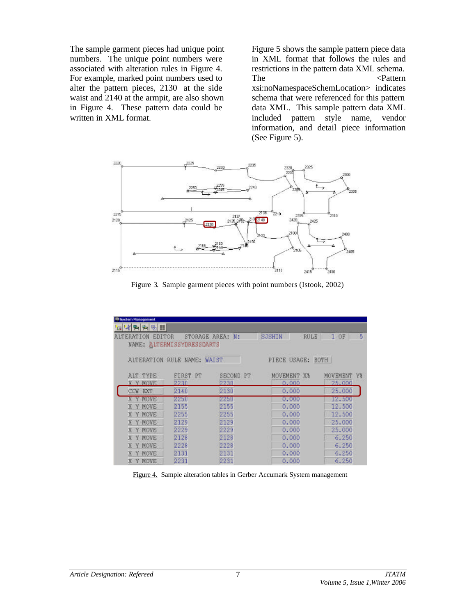The sample garment pieces had unique point numbers. The unique point numbers were associated with alteration rules in Figure 4. For example, marked point numbers used to alter the pattern pieces, 2130 at the side waist and 2140 at the armpit, are also shown in Figure 4. These pattern data could be written in XML format.

Figure 5 shows the sample pattern piece data in XML format that follows the rules and restrictions in the pattern data XML schema. The  $\langle$ Pattern xsi:noNamespaceSchemLocation> indicates schema that were referenced for this pattern data XML. This sample pattern data XML included pattern style name, vendor information, and detail piece information (See Figure 5).



Figure 3. Sample garment pieces with point numbers (Istook, 2002)

| System Management           |                            |                  |                       |             |
|-----------------------------|----------------------------|------------------|-----------------------|-------------|
| G K A A B II                |                            |                  |                       |             |
| <b>EDITOR</b><br>ALTERATION |                            | STORAGE AREA: N: | SJSHIN<br><b>RULE</b> | 5<br>10F    |
|                             | NAME: ALTERMISSYDRESSDARTS |                  |                       |             |
| <b>ALTERATION</b>           | RULE NAME:                 | <b>WAIST</b>     | PIECE USAGE:          | BOTH        |
| ALT TYPE                    | FIRST PT                   | SECOND PT        | MOVEMENT X%           | MOVEMENT Y& |
| <b>MOVE</b><br>Y V          | 2230                       | 2230             | 0.000                 | 25,000      |
| EXT<br>OCM                  | 2140                       | 2130             | 0.000                 | 25,000      |
| Y MOVE<br>x.                | 2250                       | 2250             | 0.000                 | 12.500      |
| Y MOVE<br>x                 | 2155                       | 2155             | 0.000                 | 12.500      |
| Y MOVE<br>X                 | 2255                       | 2255             | 0.000                 | 12,500      |
| Y MOVE<br>X.                | 2129                       | 2129             | 0.000                 | 25,000      |
| Y MOVE<br>$\mathbf{x}$      | 2229                       | 2229             | 0.000                 | 25,000      |
| Y MOVE<br>x.                | 2128                       | 2128             | 0.000                 | 6.250       |
| Y MOVE<br>X.                | 2228                       | 2228             | 0.000                 | 6.250       |
| Y MOVE<br>x.                | 2131                       | 2131             | 0.000                 | 6.250       |
| Y MOVE<br>x                 | 2231                       | 2231             | 0.000                 | 6.250       |

Figure 4. Sample alteration tables in Gerber Accumark System management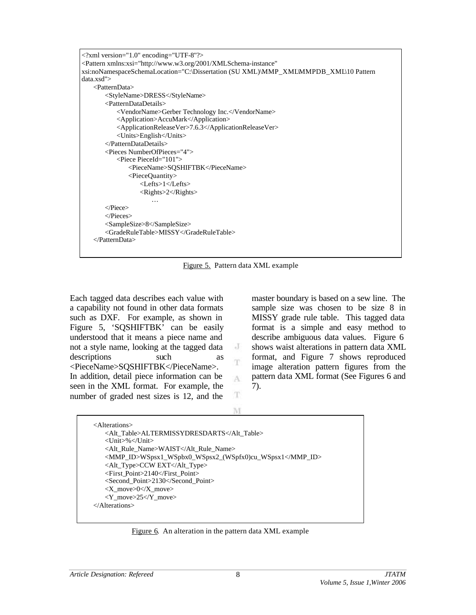```
<?xml version="1.0" encoding="UTF-8"?>
<Pattern xmlns:xsi="http://www.w3.org/2001/XMLSchema-instance" 
xsi:noNamespaceSchemaLocation="C:\Dissertation (SU XML)\MMP_XML\MMPDB_XML\10 Pattern 
data.xsd">
   <PatternData>
       <StyleName>DRESS</StyleName>
       <PatternDataDetails>
          <VendorName>Gerber Technology Inc.</VendorName>
          <Application>AccuMark</Application>
          <ApplicationReleaseVer>7.6.3</ApplicationReleaseVer>
          <Units>English</Units>
       </PatternDataDetails>
       <Pieces NumberOfPieces="4">
          <Piece PieceId="101">
              <PieceName>SQSHIFTBK</PieceName>
              <PieceQuantity>
                  <Lefts>1</Lefts>
                  <Rights>2</Rights>
                      …
       </Piece>
       </Pieces>
       <SampleSize>8</SampleSize>
       <GradeRuleTable>MISSY</GradeRuleTable>
   </PatternData>
```
Figure 5. Pattern data XML example

Each tagged data describes each value with a capability not found in other data formats such as DXF. For example, as shown in Figure 5, 'SQSHIFTBK' can be easily understood that it means a piece name and not a style name, looking at the tagged data descriptions such as <PieceName>SQSHIFTBK</PieceName>. In addition, detail piece information can be seen in the XML format. For example, the number of graded nest sizes is 12, and the

master boundary is based on a sew line. The sample size was chosen to be size 8 in MISSY grade rule table. This tagged data format is a simple and easy method to describe ambiguous data values. Figure 6 shows waist alterations in pattern data XML format, and Figure 7 shows reproduced image alteration pattern figures from the pattern data XML format (See Figures 6 and 7).

T M

J T

A

<Alterations> <Alt\_Table>ALTERMISSYDRESDARTS</Alt\_Table> <Unit>%</Unit> <Alt\_Rule\_Name>WAIST</Alt\_Rule\_Name> <MMP\_ID>WSpsx1\_WSpbx0\_WSpsx2\_(WSpfx0)cu\_WSpsx1</MMP\_ID> <Alt\_Type>CCW EXT</Alt\_Type> <First\_Point>2140</First\_Point> <Second\_Point>2130</Second\_Point> <X\_move>0</X\_move> <Y\_move>25</Y\_move> </Alterations>

Figure 6. An alteration in the pattern data XML example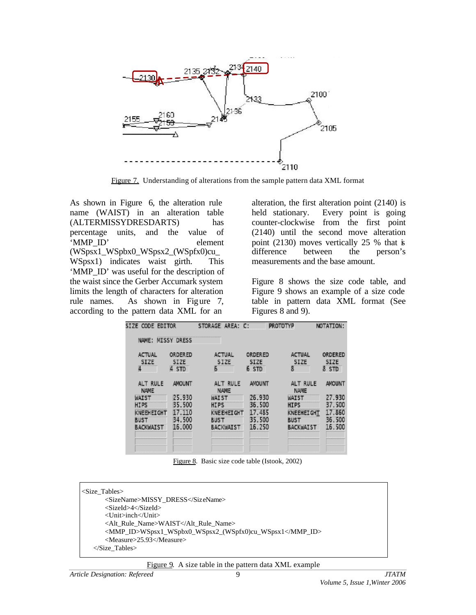

Figure 7. Understanding of alterations from the sample pattern data XML format

As shown in Figure 6, the alteration rule name (WAIST) in an alteration table (ALTERMISSYDRESDARTS) has percentage units, and the value of 'MMP\_ID' element (WSpsx1\_WSpbx0\_WSpsx2\_(WSpfx0)cu\_ WSpsx1) indicates waist girth. This 'MMP\_ID' was useful for the description of the waist since the Gerber Accumark system limits the length of characters for alteration rule names. As shown in Figure 7, according to the pattern data XML for an

alteration, the first alteration point (2140) is held stationary. Every point is going counter-clockwise from the first point (2140) until the second move alteration point (2130) moves vertically 25 % that is difference between the person's measurements and the base amount.

Figure 8 shows the size code table, and Figure 9 shows an example of a size code table in pattern data XML format (See Figures 8 and 9).

| SIZE CODE EDITOR                                                                          |                                                                 | STORAGE AREA: C:<br><b>PROTOTYP</b>                                                                            |                                                                 |                                                                                                                | NOTATION:                                                |  |
|-------------------------------------------------------------------------------------------|-----------------------------------------------------------------|----------------------------------------------------------------------------------------------------------------|-----------------------------------------------------------------|----------------------------------------------------------------------------------------------------------------|----------------------------------------------------------|--|
| NAME:                                                                                     | <b>MISSY DRESS</b>                                              |                                                                                                                |                                                                 |                                                                                                                |                                                          |  |
| ACTUAL<br><b>SIZE</b><br>4                                                                | <b>ORDERED</b><br>SIZE<br>4 STD                                 | ACTUAL<br>SIZE<br>Б                                                                                            | ORDERED<br><b>SIZE</b><br>6 STD                                 | ACTUAL<br>SIZE<br>8                                                                                            | ORDERED<br><b>SIZE</b><br>8 STD                          |  |
| ALT RULE<br>NAME<br>WAIST<br><b>HIPS</b><br>KNEEHEIGHT<br><b>BUST</b><br><b>BACKWAIST</b> | <b>AMOUNT</b><br>25.930<br>35.500<br>17.110<br>34.500<br>16,000 | ALT RULE<br><b>NAME</b><br><b>WAIST</b><br><b>HIPS</b><br><b>KNEEHEIGHT</b><br><b>BUST</b><br><b>BACKWAIST</b> | <b>AMOUNT</b><br>26.930<br>36.500<br>17.485<br>35.500<br>16.250 | ALT RULE<br><b>NAME</b><br><b>WAIST</b><br><b>HIPS</b><br><b>KNEEHEIGHT</b><br><b>BUST</b><br><b>BACKWAIST</b> | AMOUNT<br>27.930<br>37.500<br>17.860<br>36.500<br>16.500 |  |

Figure 8. Basic size code table (Istook, 2002)

| $\leq$ Size Tables                                      |
|---------------------------------------------------------|
| <sizename>MISSY DRESS</sizename>                        |
| <sizeid>4</sizeid>                                      |
| $\langle$ Unit $>$ inch $\langle$ /Unit $>$             |
| <alt name="" rule="">WAIST</alt>                        |
| <mmp_id>WSpsx1_WSpbx0_WSpsx2_(WSpfx0)cu_WSpsx1</mmp_id> |
| <measure>25.93</measure>                                |
| $\langle$ Size Tables>                                  |
|                                                         |

#### Figure 9. A size table in the pattern data XML example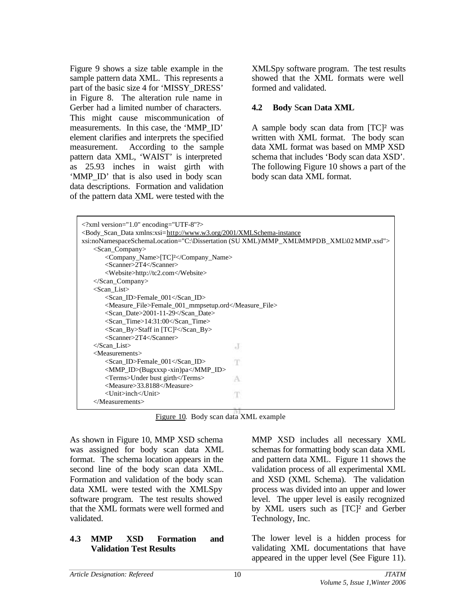Figure 9 shows a size table example in the sample pattern data XML. This represents a part of the basic size 4 for 'MISSY\_DRESS' in Figure 8. The alteration rule name in Gerber had a limited number of characters. This might cause miscommunication of measurements. In this case, the 'MMP\_ID' element clarifies and interprets the specified measurement. According to the sample pattern data XML, 'WAIST' is interpreted as 25.93 inches in waist girth with 'MMP ID' that is also used in body scan data descriptions. Formation and validation of the pattern data XML were tested with the XMLSpy software program. The test results showed that the XML formats were well formed and validated.

### **4.2 Body** S**can** D**ata XML**

A sample body scan data from [TC]² was written with XML format. The body scan data XML format was based on MMP XSD schema that includes 'Body scan data XSD'. The following Figure 10 shows a part of the body scan data XML format.

| $\langle$ 2xml version="1.0" encoding="UTF-8"?>                                                |    |  |  |  |  |
|------------------------------------------------------------------------------------------------|----|--|--|--|--|
| <body_scan_data xmlns:xsi="http://www.w3.org/2001/XMLSchema-instance&lt;/td"></body_scan_data> |    |  |  |  |  |
| xsi:noNamespaceSchemaLocation="C:\Dissertation (SU XML)\MMP_XML\MMPDB_XML\02 MMP.xsd">         |    |  |  |  |  |
| $\langle$ Scan_Company>                                                                        |    |  |  |  |  |
| <company_name>[TC]<sup>2</sup></company_name>                                                  |    |  |  |  |  |
| $<$ Scanner>2T4 $<$ /Scanner>                                                                  |    |  |  |  |  |
| <website>http://tc2.com</website>                                                              |    |  |  |  |  |
|                                                                                                |    |  |  |  |  |
| $<$ Scan List $>$                                                                              |    |  |  |  |  |
| <scan_id>Female_001</scan_id>                                                                  |    |  |  |  |  |
| <measure_file>Female_001_mmpsetup.ord</measure_file>                                           |    |  |  |  |  |
| <scan_date>2001-11-29</scan_date>                                                              |    |  |  |  |  |
| $\le$ Scan Time>14:31:00 $\le$ /Scan Time>                                                     |    |  |  |  |  |
| <scan_by>Staff in [TC]<sup>2</sup></scan_by>                                                   |    |  |  |  |  |
| $<$ Scanner>2T4 $<$ /Scanner>                                                                  |    |  |  |  |  |
| $\triangle$ Scan List                                                                          | J  |  |  |  |  |
| $<$ Measurements $>$                                                                           |    |  |  |  |  |
| $\le$ Scan ID>Female 001 $\le$ /Scan ID>                                                       | T. |  |  |  |  |
| $\langle$ MMP_ID $\rangle$ (Bugxxxp-xin)pa $\langle$ MMP_ID $\rangle$                          |    |  |  |  |  |
| <terms>Under bust girth</terms><br>A                                                           |    |  |  |  |  |
| <measure>33.8188</measure>                                                                     |    |  |  |  |  |
| <unit>inch</unit>                                                                              |    |  |  |  |  |
|                                                                                                |    |  |  |  |  |
| T                                                                                              |    |  |  |  |  |

Figure 10. Body scan data XML example

As shown in Figure 10, MMP XSD schema was assigned for body scan data XML format. The schema location appears in the second line of the body scan data XML. Formation and validation of the body scan data XML were tested with the XMLSpy software program. The test results showed that the XML formats were well formed and validated.

### **4.3 MMP XSD Formation and Validation Test Results**

MMP XSD includes all necessary XML schemas for formatting body scan data XML and pattern data XML. Figure 11 shows the validation process of all experimental XML and XSD (XML Schema). The validation process was divided into an upper and lower level. The upper level is easily recognized by XML users such as [TC]<sup>2</sup> and Gerber Technology, Inc.

The lower level is a hidden process for validating XML documentations that have appeared in the upper level (See Figure 11).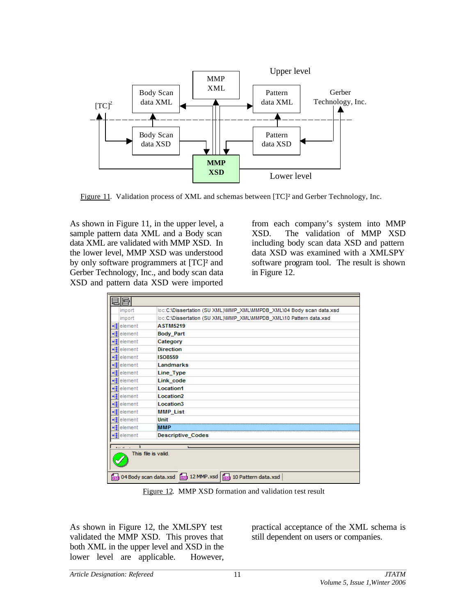

Figure 11. Validation process of XML and schemas between [TC]² and Gerber Technology, Inc.

As shown in Figure 11, in the upper level, a sample pattern data XML and a Body scan data XML are validated with MMP XSD. In the lower level, MMP XSD was understood by only software programmers at [TC]² and Gerber Technology, Inc., and body scan data XSD and pattern data XSD were imported

from each company's system into MMP XSD. The validation of MMP XSD including body scan data XSD and pattern data XSD was examined with a XMLSPY software program tool. The result is shown in Figure 12.

| import                                                | loc:C:\Dissertation (SU XML)\MMP_XML\MMPDB_XML\04 Body scan data.xsd |  |  |  |
|-------------------------------------------------------|----------------------------------------------------------------------|--|--|--|
| import                                                | loc:C:\Dissertation (SU XML)\MMP_XML\MMPDB_XML\10 Pattern data.xsd   |  |  |  |
| $\frac{1}{2}$ element                                 | <b>ASTM5219</b>                                                      |  |  |  |
| $\frac{1}{2}$ element                                 | <b>Body Part</b>                                                     |  |  |  |
| $\mathbf{e}_{\mathrm{eff}}^{\mathrm{eff}}$<br>element | Category                                                             |  |  |  |
| - :<br>element                                        | <b>Direction</b>                                                     |  |  |  |
| ×.<br>element                                         | <b>ISO8559</b>                                                       |  |  |  |
| $\frac{1}{2}$ element                                 | Landmarks                                                            |  |  |  |
| $\frac{1}{2}$ element                                 | Line_Type                                                            |  |  |  |
| $\frac{1}{2}$ element                                 | Link code                                                            |  |  |  |
| $\frac{1}{2}$ element                                 | <b>Location1</b>                                                     |  |  |  |
| $\frac{1}{2}$ element                                 | Location <sub>2</sub>                                                |  |  |  |
| •{ element                                            | Location <sub>3</sub>                                                |  |  |  |
| • <mark>el</mark> element                             | <b>MMP List</b>                                                      |  |  |  |
| $\frac{1}{2}$ element                                 | Unit                                                                 |  |  |  |
| $\frac{1}{2}$ element                                 | іммр                                                                 |  |  |  |
| $\frac{1}{2}$ element                                 | <b>Descriptive Codes</b>                                             |  |  |  |

Figure 12. MMP XSD formation and validation test result

As shown in Figure 12, the XMLSPY test validated the MMP XSD. This proves that both XML in the upper level and XSD in the lower level are applicable. However, practical acceptance of the XML schema is still dependent on users or companies.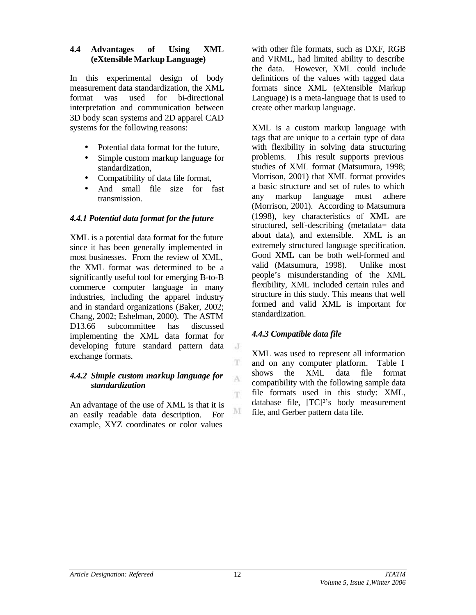### **4.4 Advantages of Using XML (eXtensible Markup Language)**

In this experimental design of body measurement data standardization, the XML format was used for bi-directional interpretation and communication between 3D body scan systems and 2D apparel CAD systems for the following reasons:

- Potential data format for the future,
- Simple custom markup language for standardization,
- Compatibility of data file format,
- And small file size for fast transmission.

# *4.4.1 Potential data format for the future*

XML is a potential data format for the future since it has been generally implemented in most businesses. From the review of XML, the XML format was determined to be a significantly useful tool for emerging B-to-B commerce computer language in many industries, including the apparel industry and in standard organizations (Baker, 2002; Chang, 2002; Eshelman, 2000). The ASTM D13.66 subcommittee has discussed implementing the XML data format for developing future standard pattern data exchange formats.

### *4.4.2 Simple custom markup language for standardization*

An advantage of the use of XML is that it is an easily readable data description. For example, XYZ coordinates or color values

with other file formats, such as DXF, RGB and VRML, had limited ability to describe the data. However, XML could include definitions of the values with tagged data formats since XML (eXtensible Markup Language) is a meta-language that is used to create other markup language.

XML is a custom markup language with tags that are unique to a certain type of data with flexibility in solving data structuring problems. This result supports previous studies of XML format (Matsumura, 1998; Morrison, 2001) that XML format provides a basic structure and set of rules to which any markup language must adhere (Morrison, 2001). According to Matsumura (1998), key characteristics of XML are structured, self-describing (metadata= data about data), and extensible. XML is an extremely structured language specification. Good XML can be both well-formed and valid (Matsumura, 1998). Unlike most people's misunderstanding of the XML flexibility, XML included certain rules and structure in this study. This means that well formed and valid XML is important for standardization.

# *4.4.3 Compatible data file*

XML was used to represent all information and on any computer platform. Table I shows the XML data file format compatibility with the following sample data file formats used in this study: XML, database file, [TC]²'s body measurement file, and Gerber pattern data file.

 $\rm J$ 

T

A

T.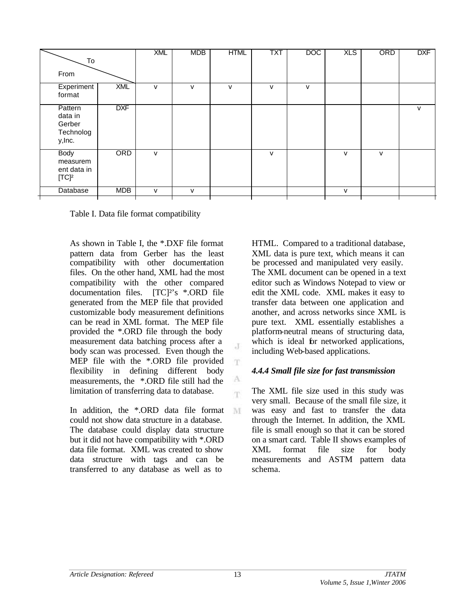| To                                                   |            | <b>XML</b> | <b>MDB</b> | <b>HTML</b> | <b>TXT</b>   | <b>DOC</b> | <b>XLS</b>   | ORD          | <b>DXF</b> |
|------------------------------------------------------|------------|------------|------------|-------------|--------------|------------|--------------|--------------|------------|
| From                                                 |            |            |            |             |              |            |              |              |            |
| Experiment<br>format                                 | <b>XML</b> | v          | v          | v           | v            | v          |              |              |            |
| Pattern<br>data in<br>Gerber<br>Technolog<br>y, Inc. | <b>DXF</b> |            |            |             |              |            |              |              | ${\sf V}$  |
| <b>Body</b><br>measurem<br>ent data in<br>$[TC]^2$   | ORD        | v          |            |             | $\mathsf{V}$ |            | $\mathsf{V}$ | $\mathsf{V}$ |            |
| Database                                             | <b>MDB</b> | v          | v          |             |              |            | $\mathsf{V}$ |              |            |
|                                                      |            |            |            |             |              |            |              |              |            |

 $_{\rm c}$  J

T

A 'n.

M

Table I. Data file format compatibility

As shown in Table I, the \*.DXF file format pattern data from Gerber has the least compatibility with other documentation files. On the other hand, XML had the most compatibility with the other compared documentation files. [TC]²'s \*.ORD file generated from the MEP file that provided customizable body measurement definitions can be read in XML format. The MEP file provided the \*.ORD file through the body measurement data batching process after a body scan was processed. Even though the MEP file with the \*.ORD file provided flexibility in defining different body measurements, the \*.ORD file still had the limitation of transferring data to database.

In addition, the \*.ORD data file format could not show data structure in a database. The database could display data structure but it did not have compatibility with \*.ORD data file format. XML was created to show data structure with tags and can be transferred to any database as well as to

HTML. Compared to a traditional database, XML data is pure text, which means it can be processed and manipulated very easily. The XML document can be opened in a text editor such as Windows Notepad to view or edit the XML code. XML makes it easy to transfer data between one application and another, and across networks since XML is pure text. XML essentially establishes a platform-neutral means of structuring data, which is ideal for networked applications, including Web-based applications.

# *4.4.4 Small file size for fast transmission*

The XML file size used in this study was very small. Because of the small file size, it was easy and fast to transfer the data through the Internet. In addition, the XML file is small enough so that it can be stored on a smart card. Table II shows examples of XML format file size for body measurements and ASTM pattern data schema.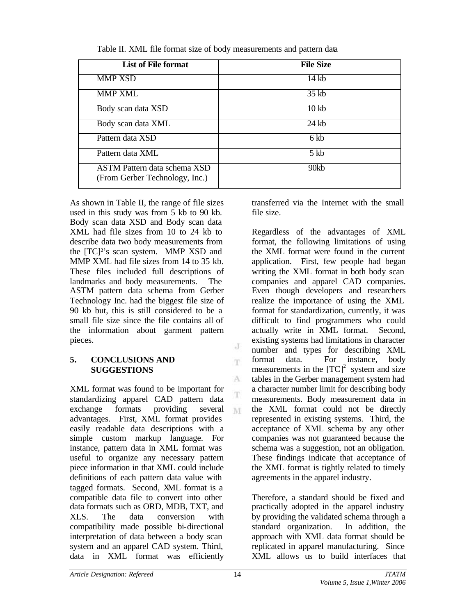| <b>List of File format</b>                                            | <b>File Size</b> |
|-----------------------------------------------------------------------|------------------|
| <b>MMP XSD</b>                                                        | 14 kb            |
| <b>MMP XML</b>                                                        | $35$ kb          |
| Body scan data XSD                                                    | 10 <sub>kb</sub> |
| Body scan data XML                                                    | 24 kb            |
| Pattern data XSD                                                      | 6 kb             |
| Pattern data XML                                                      | $5$ kb           |
| <b>ASTM Pattern data schema XSD</b><br>(From Gerber Technology, Inc.) | 90kb             |

Table II. XML file format size of body measurements and pattern data

As shown in Table II, the range of file sizes used in this study was from 5 kb to 90 kb. Body scan data XSD and Body scan data XML had file sizes from 10 to 24 kb to describe data two body measurements from the [TC]²'s scan system. MMP XSD and MMP XML had file sizes from 14 to 35 kb. These files included full descriptions of landmarks and body measurements. The ASTM pattern data schema from Gerber Technology Inc. had the biggest file size of 90 kb but, this is still considered to be a small file size since the file contains all of the information about garment pattern pieces.

### **5. CONCLUSIONS AND SUGGESTIONS**

XML format was found to be important for standardizing apparel CAD pattern data exchange formats providing several advantages. First, XML format provides easily readable data descriptions with a simple custom markup language. For instance, pattern data in XML format was useful to organize any necessary pattern piece information in that XML could include definitions of each pattern data value with tagged formats. Second, XML format is a compatible data file to convert into other data formats such as ORD, MDB, TXT, and XLS. The data conversion with compatibility made possible bi-directional interpretation of data between a body scan system and an apparel CAD system. Third, data in XML format was efficiently

transferred via the Internet with the small file size.

Regardless of the advantages of XML format, the following limitations of using the XML format were found in the current application. First, few people had began writing the XML format in both body scan companies and apparel CAD companies. Even though developers and researchers realize the importance of using the XML format for standardization, currently, it was difficult to find programmers who could actually write in XML format. Second, existing systems had limitations in character number and types for describing XML format data. For instance, body measurements in the  ${[TC]}^2$  system and size tables in the Gerber management system had a character number limit for describing body measurements. Body measurement data in the XML format could not be directly represented in existing systems. Third, the acceptance of XML schema by any other companies was not guaranteed because the schema was a suggestion, not an obligation. These findings indicate that acceptance of the XML format is tightly related to timely agreements in the apparel industry.

Therefore, a standard should be fixed and practically adopted in the apparel industry by providing the validated schema through a standard organization. In addition, the approach with XML data format should be replicated in apparel manufacturing. Since XML allows us to build interfaces that

J T.

A Ŧ